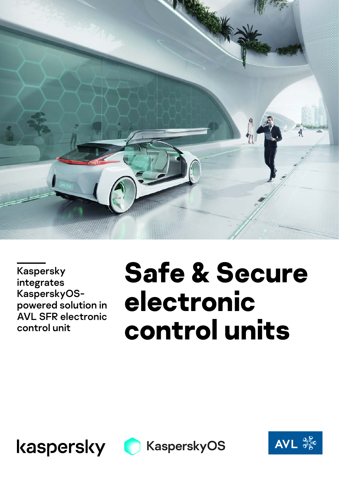

Kaspersky integrates KasperskyOSpowered solution in AVL SFR electronic control unit

# **Safe & Secure electronic control units**





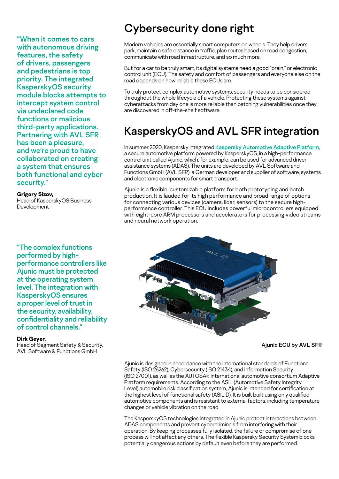"When it comes to cars with autonomous driving features, the safety of drivers, passengers and pedestrians is top priority. The integrated KasperskyOS security module blocks attempts to intercept system control via undeclared code functions or malicious third-party applications. Partnering with AVL SFR has been a pleasure, and we're proud to have collaborated on creating a system that ensures both functional and cyber security."

#### **Grigory Sizov,**

Head of KasperskyOS Business Development

"The complex functions performed by highperformance controllers like Ajunic must be protected at the operating system level. The integration with KasperskyOS ensures a proper level of trust in the security, availability, confidentiality and reliability of control channels."

#### **Dirk Geyer,**

Head of Segment Safety & Security, AVL Software & Functions GmbH

## Cybersecurity done right

Modern vehicles are essentially smart computers on wheels. They help drivers park, maintain a safe distance in traffic, plan routes based on road congestion, communicate with road infrastructure, and so much more.

But for a car to be truly smart, its digital systems need a good "brain," or electronic control unit (ECU). The safety and comfort of passengers and everyone else on the road depends on how reliable these ECUs are.

To truly protect complex automotive systems, security needs to be considered throughout the whole lifecycle of a vehicle. Protecting these systems against cyberattacks from day one is more reliable than patching vulnerabilities once they are discovered in off-the-shelf software.

## KasperskyOS and AVL SFR integration

In summer 2020, Kaspersky integrated [Kaspersky Automotive Adaptive Platform](https://os.kaspersky.com/solutions/kaspersky-automotive-adaptive-platform/), a secure automotive platform powered by KasperskyOS, in a high-performance control unit called Ajunic, which, for example, can be used for advanced driver assistance systems (ADAS). The units are developed by AVL Software and Functions GmbH (AVL SFR), a German developer and supplier of software, systems and electronic components for smart transport.

Ajunic is a flexible, customizable platform for both prototyping and batch production. It is lauded for its high performance and broad range of options for connecting various devices (camera, lidar, sensors) to the secure highperformance controller. This ECU includes powerful microcontrollers equipped with eight-core ARM processors and accelerators for processing video streams and neural network operation.



Ajunic ECU by AVL SFR

Ajunic is designed in accordance with the international standards of Functional Safety (ISO 26262), Cybersecurity (ISO 21434), and Information Security (ISO 27001), as well as the AUTOSAR international automotive consortium Adaptive Platform requirements. According to the ASIL (Automotive Safety Integrity Level) automobile risk classification system, Ajunic is intended for certification at the highest level of functional safety (ASIL D). It is built built using only qualified automotive components and is resistant to external factors, including temperature changes or vehicle vibration on the road.

The KasperskyOS technologies integrated in Ajunic protect interactions between ADAS components and prevent cybercriminals from interfering with their operation. By keeping processes fully isolated, the failure or compromise of one process will not affect any others. The flexible Kaspersky Security System blocks potentially dangerous actions by default even before they are performed.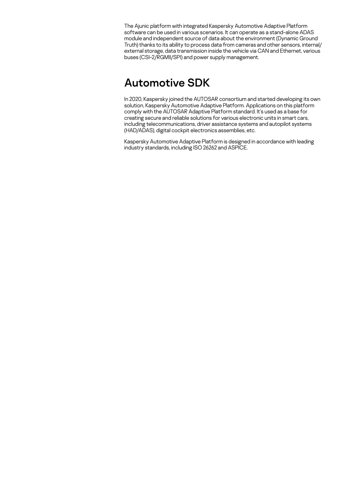The Ajunic platform with integrated Kaspersky Automotive Adaptive Platform software can be used in various scenarios. It can operate as a stand-alone ADAS module and independent source of data about the environment (Dynamic Ground Truth) thanks to its ability to process data from cameras and other sensors, internal/ external storage, data transmission inside the vehicle via CAN and Ethernet, various buses (CSI-2/RGMII/SPI) and power supply management.

### Automotive SDK

In 2020, Kaspersky joined the AUTOSAR consortium and started developing its own solution, Kaspersky Automotive Adaptive Platform. Applications on this platform comply with the AUTOSAR Adaptive Platform standard. It's used as a base for creating secure and reliable solutions for various electronic units in smart cars, including telecommunications, driver assistance systems and autopilot systems (HAD/ADAS), digital cockpit electronics assemblies, etc.

Kaspersky Automotive Adaptive Platform is designed in accordance with leading industry standards, including ISO 26262 and ASPICE.